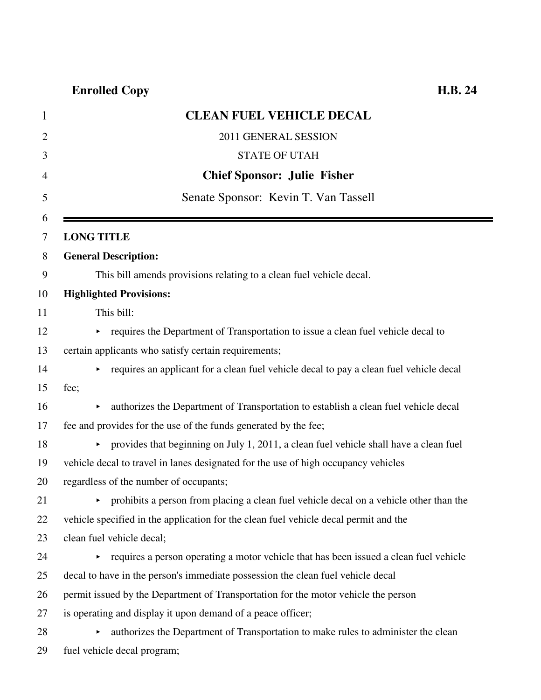| $\mathbf{1}$ | <b>CLEAN FUEL VEHICLE DECAL</b>                                                        |
|--------------|----------------------------------------------------------------------------------------|
| 2            | 2011 GENERAL SESSION                                                                   |
| 3            | <b>STATE OF UTAH</b>                                                                   |
| 4            | <b>Chief Sponsor: Julie Fisher</b>                                                     |
| 5            | Senate Sponsor: Kevin T. Van Tassell                                                   |
| 6<br>7       | <b>LONG TITLE</b>                                                                      |
| 8            | <b>General Description:</b>                                                            |
| 9            | This bill amends provisions relating to a clean fuel vehicle decal.                    |
|              | <b>Highlighted Provisions:</b>                                                         |
|              | This bill:                                                                             |
|              | • requires the Department of Transportation to issue a clean fuel vehicle decal to     |
|              | certain applicants who satisfy certain requirements;                                   |
|              | requires an applicant for a clean fuel vehicle decal to pay a clean fuel vehicle decal |
|              | fee;                                                                                   |
|              | authorizes the Department of Transportation to establish a clean fuel vehicle decal    |
|              | fee and provides for the use of the funds generated by the fee;                        |
|              | provides that beginning on July 1, 2011, a clean fuel vehicle shall have a clean fuel  |
|              | vehicle decal to travel in lanes designated for the use of high occupancy vehicles     |
|              | regardless of the number of occupants;                                                 |
|              | prohibits a person from placing a clean fuel vehicle decal on a vehicle other than the |
|              | vehicle specified in the application for the clean fuel vehicle decal permit and the   |
|              | clean fuel vehicle decal;                                                              |
| 24           | requires a person operating a motor vehicle that has been issued a clean fuel vehicle  |
|              | decal to have in the person's immediate possession the clean fuel vehicle decal        |
|              | permit issued by the Department of Transportation for the motor vehicle the person     |
|              | is operating and display it upon demand of a peace officer;                            |
|              | authorizes the Department of Transportation to make rules to administer the clean      |
| 29           | fuel vehicle decal program;                                                            |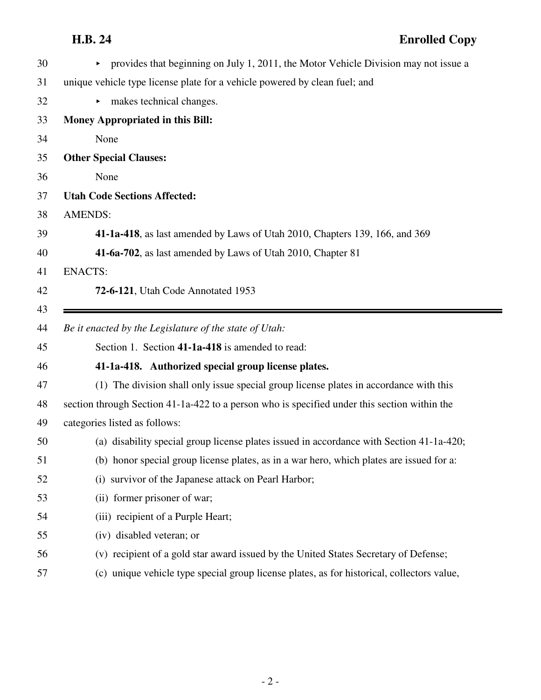| 30 | provides that beginning on July 1, 2011, the Motor Vehicle Division may not issue a<br>×.    |
|----|----------------------------------------------------------------------------------------------|
| 31 | unique vehicle type license plate for a vehicle powered by clean fuel; and                   |
| 32 | makes technical changes.<br>Þ.                                                               |
| 33 | <b>Money Appropriated in this Bill:</b>                                                      |
| 34 | None                                                                                         |
| 35 | <b>Other Special Clauses:</b>                                                                |
| 36 | None                                                                                         |
| 37 | <b>Utah Code Sections Affected:</b>                                                          |
| 38 | <b>AMENDS:</b>                                                                               |
| 39 | 41-1a-418, as last amended by Laws of Utah 2010, Chapters 139, 166, and 369                  |
| 40 | 41-6a-702, as last amended by Laws of Utah 2010, Chapter 81                                  |
| 41 | <b>ENACTS:</b>                                                                               |
| 42 | 72-6-121, Utah Code Annotated 1953                                                           |
| 43 |                                                                                              |
| 44 | Be it enacted by the Legislature of the state of Utah:                                       |
| 45 | Section 1. Section 41-1a-418 is amended to read:                                             |
| 46 | 41-1a-418. Authorized special group license plates.                                          |
| 47 | (1) The division shall only issue special group license plates in accordance with this       |
| 48 |                                                                                              |
|    | section through Section 41-1a-422 to a person who is specified under this section within the |
| 49 | categories listed as follows:                                                                |
| 50 | (a) disability special group license plates issued in accordance with Section 41-1a-420;     |
| 51 | (b) honor special group license plates, as in a war hero, which plates are issued for a:     |
| 52 | (i) survivor of the Japanese attack on Pearl Harbor;                                         |
| 53 | (ii) former prisoner of war;                                                                 |
| 54 | (iii) recipient of a Purple Heart;                                                           |
| 55 | (iv) disabled veteran; or                                                                    |
| 56 | (v) recipient of a gold star award issued by the United States Secretary of Defense;         |
| 57 | (c) unique vehicle type special group license plates, as for historical, collectors value,   |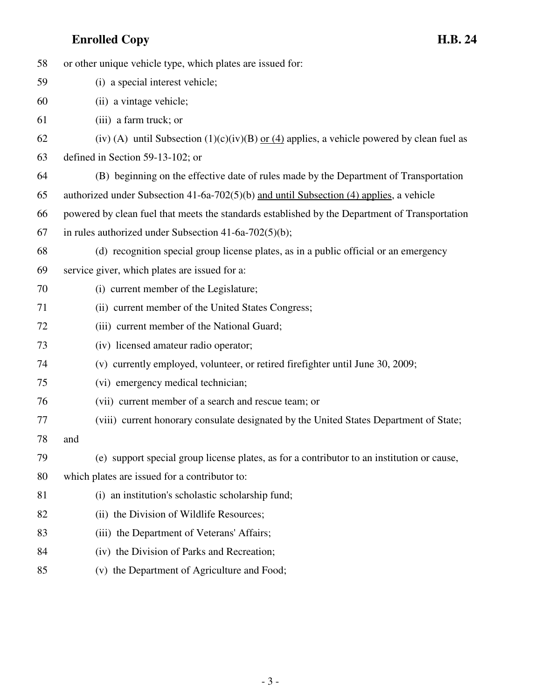| 58 | or other unique vehicle type, which plates are issued for:                                     |
|----|------------------------------------------------------------------------------------------------|
| 59 | (i) a special interest vehicle;                                                                |
| 60 | (ii) a vintage vehicle;                                                                        |
| 61 | (iii) a farm truck; or                                                                         |
| 62 | (iv) (A) until Subsection $(1)(c)(iv)(B)$ or $(4)$ applies, a vehicle powered by clean fuel as |
| 63 | defined in Section 59-13-102; or                                                               |
| 64 | (B) beginning on the effective date of rules made by the Department of Transportation          |
| 65 | authorized under Subsection 41-6a-702(5)(b) and until Subsection (4) applies, a vehicle        |
| 66 | powered by clean fuel that meets the standards established by the Department of Transportation |
| 67 | in rules authorized under Subsection $41-6a-702(5)(b)$ ;                                       |
| 68 | (d) recognition special group license plates, as in a public official or an emergency          |
| 69 | service giver, which plates are issued for a:                                                  |
| 70 | (i) current member of the Legislature;                                                         |
| 71 | (ii) current member of the United States Congress;                                             |
| 72 | (iii) current member of the National Guard;                                                    |
| 73 | (iv) licensed amateur radio operator;                                                          |
| 74 | (v) currently employed, volunteer, or retired firefighter until June 30, 2009;                 |
| 75 | (vi) emergency medical technician;                                                             |
| 76 | (vii) current member of a search and rescue team; or                                           |
| 77 | (viii) current honorary consulate designated by the United States Department of State;         |
| 78 | and                                                                                            |
| 79 | (e) support special group license plates, as for a contributor to an institution or cause,     |
| 80 | which plates are issued for a contributor to:                                                  |
| 81 | (i) an institution's scholastic scholarship fund;                                              |
| 82 | (ii) the Division of Wildlife Resources;                                                       |
| 83 | (iii) the Department of Veterans' Affairs;                                                     |
| 84 | (iv) the Division of Parks and Recreation;                                                     |
|    |                                                                                                |

85 (v) the Department of Agriculture and Food;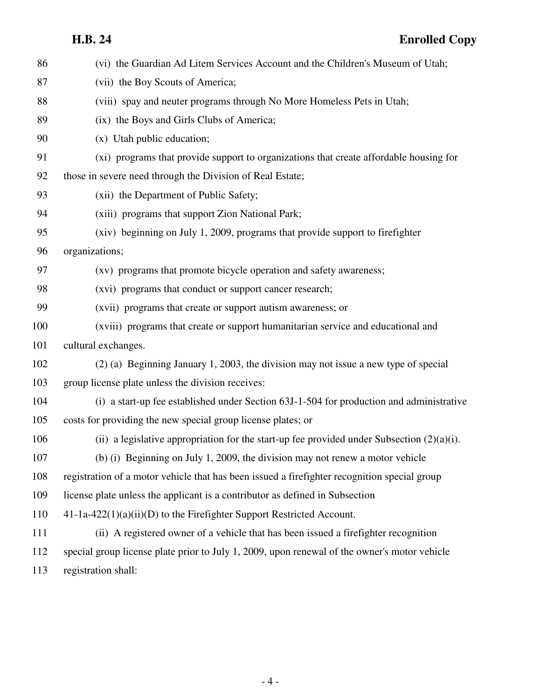| 86  | (vi) the Guardian Ad Litem Services Account and the Children's Museum of Utah;                |
|-----|-----------------------------------------------------------------------------------------------|
| 87  | (vii) the Boy Scouts of America;                                                              |
| 88  | (viii) spay and neuter programs through No More Homeless Pets in Utah;                        |
| 89  | (ix) the Boys and Girls Clubs of America;                                                     |
| 90  | (x) Utah public education;                                                                    |
| 91  | (xi) programs that provide support to organizations that create affordable housing for        |
| 92  | those in severe need through the Division of Real Estate;                                     |
| 93  | (xii) the Department of Public Safety;                                                        |
| 94  | (xiii) programs that support Zion National Park;                                              |
| 95  | (xiv) beginning on July 1, 2009, programs that provide support to firefighter                 |
| 96  | organizations;                                                                                |
| 97  | (xv) programs that promote bicycle operation and safety awareness;                            |
| 98  | (xvi) programs that conduct or support cancer research;                                       |
| 99  | (xvii) programs that create or support autism awareness; or                                   |
| 100 | (xviii) programs that create or support humanitarian service and educational and              |
| 101 | cultural exchanges.                                                                           |
| 102 | (2) (a) Beginning January 1, 2003, the division may not issue a new type of special           |
| 103 | group license plate unless the division receives:                                             |
| 104 | (i) a start-up fee established under Section 63J-1-504 for production and administrative      |
| 105 | costs for providing the new special group license plates; or                                  |
| 106 | (ii) a legislative appropriation for the start-up fee provided under Subsection $(2)(a)(i)$ . |
| 107 | (b) (i) Beginning on July 1, 2009, the division may not renew a motor vehicle                 |
| 108 | registration of a motor vehicle that has been issued a firefighter recognition special group  |
| 109 | license plate unless the applicant is a contributor as defined in Subsection                  |
| 110 | 41-1a-422(1)(a)(ii)(D) to the Firefighter Support Restricted Account.                         |
| 111 | (ii) A registered owner of a vehicle that has been issued a firefighter recognition           |
| 112 | special group license plate prior to July 1, 2009, upon renewal of the owner's motor vehicle  |
| 113 | registration shall:                                                                           |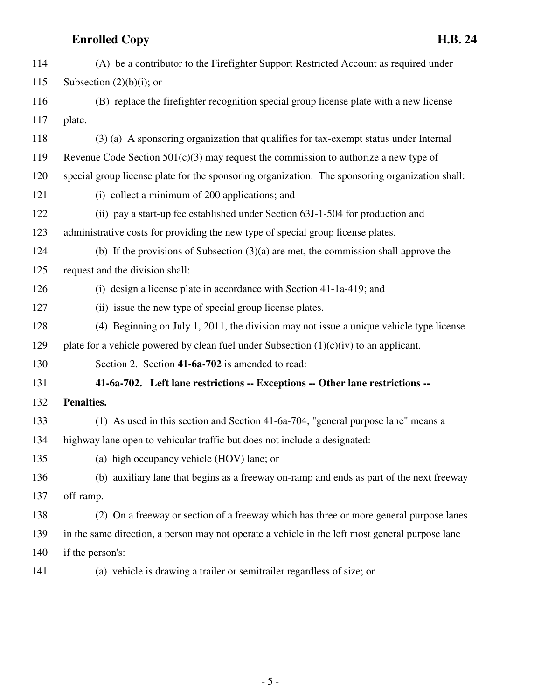| 114 | (A) be a contributor to the Firefighter Support Restricted Account as required under            |
|-----|-------------------------------------------------------------------------------------------------|
| 115 | Subsection $(2)(b)(i)$ ; or                                                                     |
| 116 | (B) replace the firefighter recognition special group license plate with a new license          |
| 117 | plate.                                                                                          |
| 118 | (3) (a) A sponsoring organization that qualifies for tax-exempt status under Internal           |
| 119 | Revenue Code Section $501(c)(3)$ may request the commission to authorize a new type of          |
| 120 | special group license plate for the sponsoring organization. The sponsoring organization shall: |
| 121 | (i) collect a minimum of 200 applications; and                                                  |
| 122 | (ii) pay a start-up fee established under Section 63J-1-504 for production and                  |
| 123 | administrative costs for providing the new type of special group license plates.                |
| 124 | (b) If the provisions of Subsection $(3)(a)$ are met, the commission shall approve the          |
| 125 | request and the division shall:                                                                 |
| 126 | (i) design a license plate in accordance with Section 41-1a-419; and                            |
| 127 | (ii) issue the new type of special group license plates.                                        |
| 128 | $(4)$ Beginning on July 1, 2011, the division may not issue a unique vehicle type license       |
| 129 | plate for a vehicle powered by clean fuel under Subsection $(1)(c)(iv)$ to an applicant.        |
| 130 | Section 2. Section 41-6a-702 is amended to read:                                                |
| 131 | 41-6a-702. Left lane restrictions -- Exceptions -- Other lane restrictions --                   |
| 132 | Penalties.                                                                                      |
| 133 | (1) As used in this section and Section 41-6a-704, "general purpose lane" means a               |
| 134 | highway lane open to vehicular traffic but does not include a designated:                       |
| 135 | (a) high occupancy vehicle (HOV) lane; or                                                       |
| 136 | (b) auxiliary lane that begins as a freeway on-ramp and ends as part of the next freeway        |
| 137 | off-ramp.                                                                                       |
| 138 | (2) On a freeway or section of a freeway which has three or more general purpose lanes          |
| 139 | in the same direction, a person may not operate a vehicle in the left most general purpose lane |
| 140 | if the person's:                                                                                |
|     |                                                                                                 |

- 
- 141 (a) vehicle is drawing a trailer or semitrailer regardless of size; or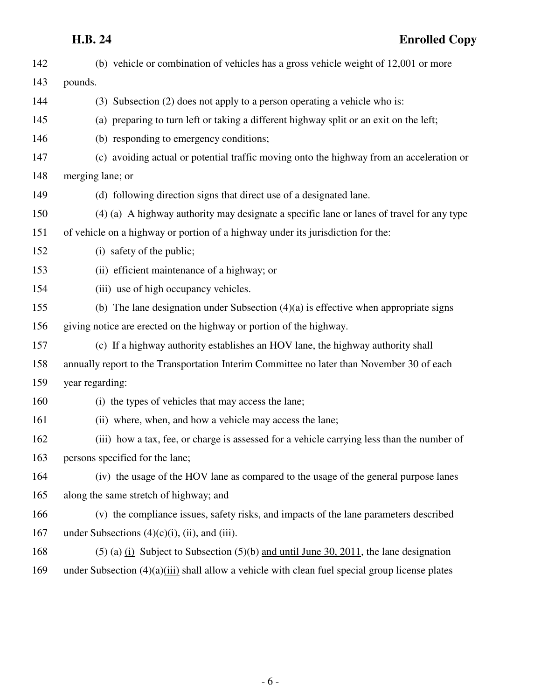| 142 | (b) vehicle or combination of vehicles has a gross vehicle weight of 12,001 or more                |
|-----|----------------------------------------------------------------------------------------------------|
| 143 | pounds.                                                                                            |
| 144 | (3) Subsection (2) does not apply to a person operating a vehicle who is:                          |
| 145 | (a) preparing to turn left or taking a different highway split or an exit on the left;             |
| 146 | (b) responding to emergency conditions;                                                            |
| 147 | (c) avoiding actual or potential traffic moving onto the highway from an acceleration or           |
| 148 | merging lane; or                                                                                   |
| 149 | (d) following direction signs that direct use of a designated lane.                                |
| 150 | (4) (a) A highway authority may designate a specific lane or lanes of travel for any type          |
| 151 | of vehicle on a highway or portion of a highway under its jurisdiction for the:                    |
| 152 | (i) safety of the public;                                                                          |
| 153 | (ii) efficient maintenance of a highway; or                                                        |
| 154 | (iii) use of high occupancy vehicles.                                                              |
| 155 | (b) The lane designation under Subsection $(4)(a)$ is effective when appropriate signs             |
| 156 | giving notice are erected on the highway or portion of the highway.                                |
| 157 | (c) If a highway authority establishes an HOV lane, the highway authority shall                    |
| 158 | annually report to the Transportation Interim Committee no later than November 30 of each          |
| 159 | year regarding:                                                                                    |
| 160 | (i) the types of vehicles that may access the lane;                                                |
| 161 | (ii) where, when, and how a vehicle may access the lane;                                           |
| 162 | (iii) how a tax, fee, or charge is assessed for a vehicle carrying less than the number of         |
| 163 | persons specified for the lane;                                                                    |
| 164 | (iv) the usage of the HOV lane as compared to the usage of the general purpose lanes               |
| 165 | along the same stretch of highway; and                                                             |
| 166 | (v) the compliance issues, safety risks, and impacts of the lane parameters described              |
| 167 | under Subsections $(4)(c)(i)$ , (ii), and (iii).                                                   |
| 168 | $(5)$ (a) $(i)$ Subject to Subsection (5)(b) and until June 30, 2011, the lane designation         |
| 169 | under Subsection $(4)(a)$ (iii) shall allow a vehicle with clean fuel special group license plates |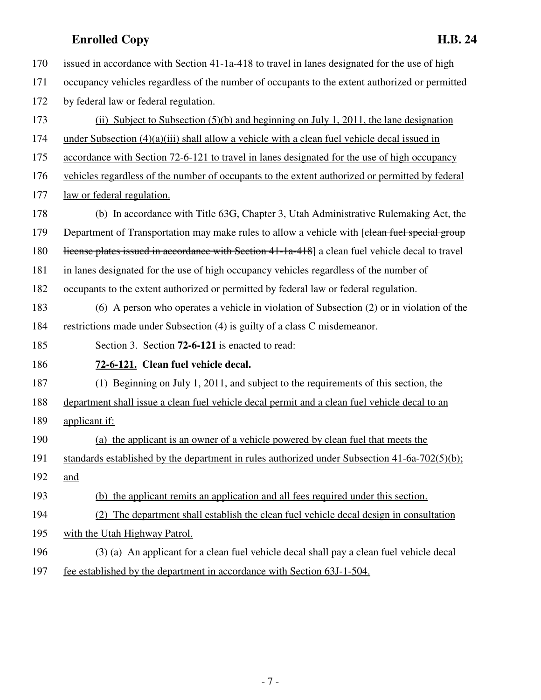| 170 | issued in accordance with Section 41-1a-418 to travel in lanes designated for the use of high    |
|-----|--------------------------------------------------------------------------------------------------|
| 171 | occupancy vehicles regardless of the number of occupants to the extent authorized or permitted   |
| 172 | by federal law or federal regulation.                                                            |
| 173 | (ii) Subject to Subsection $(5)(b)$ and beginning on July 1, 2011, the lane designation          |
| 174 | under Subsection $(4)(a)(iii)$ shall allow a vehicle with a clean fuel vehicle decal issued in   |
| 175 | accordance with Section 72-6-121 to travel in lanes designated for the use of high occupancy     |
| 176 | vehicles regardless of the number of occupants to the extent authorized or permitted by federal  |
| 177 | law or federal regulation.                                                                       |
| 178 | (b) In accordance with Title 63G, Chapter 3, Utah Administrative Rulemaking Act, the             |
| 179 | Department of Transportation may make rules to allow a vehicle with [clean fuel special group    |
| 180 | license plates issued in accordance with Section 41-1a-418] a clean fuel vehicle decal to travel |
| 181 | in lanes designated for the use of high occupancy vehicles regardless of the number of           |
| 182 | occupants to the extent authorized or permitted by federal law or federal regulation.            |
| 183 | $(6)$ A person who operates a vehicle in violation of Subsection $(2)$ or in violation of the    |
| 184 | restrictions made under Subsection (4) is guilty of a class C misdemeanor.                       |
| 185 | Section 3. Section 72-6-121 is enacted to read:                                                  |
| 186 | 72-6-121. Clean fuel vehicle decal.                                                              |
| 187 | (1) Beginning on July 1, 2011, and subject to the requirements of this section, the              |
| 188 | department shall issue a clean fuel vehicle decal permit and a clean fuel vehicle decal to an    |
| 189 | applicant if:                                                                                    |
| 190 | (a) the applicant is an owner of a vehicle powered by clean fuel that meets the                  |
| 191 | standards established by the department in rules authorized under Subsection $41-6a-702(5)(b)$ ; |
| 192 | and                                                                                              |
| 193 | (b) the applicant remits an application and all fees required under this section.                |
| 194 | (2) The department shall establish the clean fuel vehicle decal design in consultation           |
| 195 | with the Utah Highway Patrol.                                                                    |
| 196 | (3) (a) An applicant for a clean fuel vehicle decal shall pay a clean fuel vehicle decal         |
| 197 | fee established by the department in accordance with Section 63J-1-504.                          |